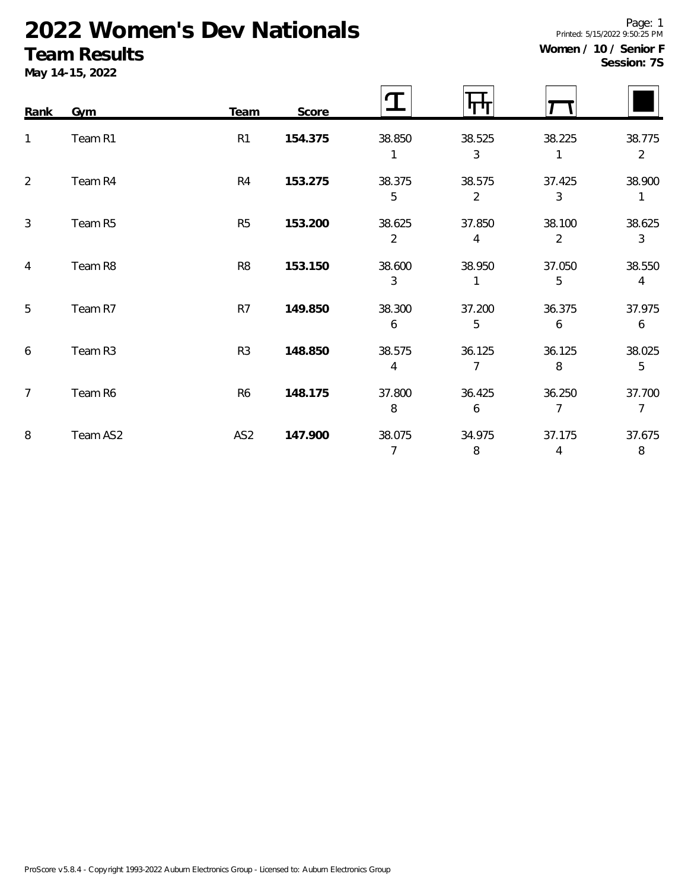# **2022 Women's Dev Nationals**

## **Team Results**

**May 14-15, 2022**

| ----       |  |
|------------|--|
| ession: 7S |  |

| Rank           | Gym      | Team            | Score   | Ղ                        | TП          |                          |                          |
|----------------|----------|-----------------|---------|--------------------------|-------------|--------------------------|--------------------------|
| 1              | Team R1  | R <sub>1</sub>  | 154.375 | 38.850                   | 38.525<br>3 | 38.225<br>1              | 38.775<br>$\overline{2}$ |
| $\overline{2}$ | Team R4  | R4              | 153.275 | 38.375<br>5              | 38.575<br>2 | 37.425<br>3              | 38.900<br>1              |
| $\mathbf{3}$   | Team R5  | R <sub>5</sub>  | 153.200 | 38.625<br>$\overline{2}$ | 37.850<br>4 | 38.100<br>$\overline{2}$ | 38.625<br>3              |
| $\overline{4}$ | Team R8  | R <sub>8</sub>  | 153.150 | 38.600<br>3              | 38.950      | 37.050<br>5              | 38.550<br>4              |
| 5              | Team R7  | R7              | 149.850 | 38.300<br>6              | 37.200<br>5 | 36.375<br>6              | 37.975<br>6              |
| 6              | Team R3  | R <sub>3</sub>  | 148.850 | 38.575<br>4              | 36.125<br>7 | 36.125<br>8              | 38.025<br>5              |
| $\overline{7}$ | Team R6  | R <sub>6</sub>  | 148.175 | 37.800<br>8              | 36.425<br>6 | 36.250<br>$\overline{7}$ | 37.700<br>$\overline{7}$ |
| 8              | Team AS2 | AS <sub>2</sub> | 147.900 | 38.075                   | 34.975      | 37.175                   | 37.675                   |

Page: 1 Printed: 5/15/2022 9:50:25 PM

#### **Women / 10 / Senior F**  $S\epsilon$

7 8 4 8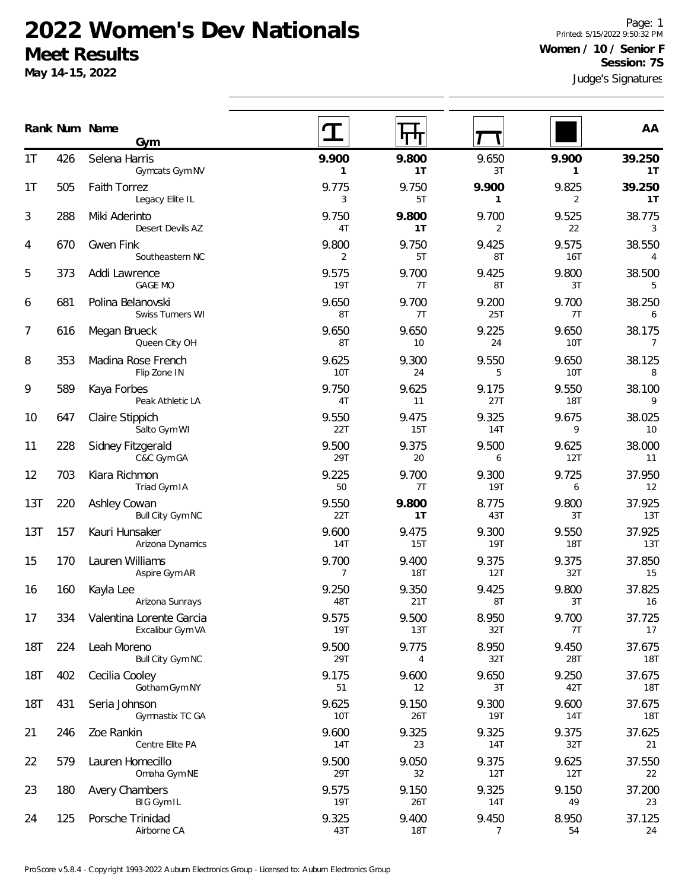### **2022 Women's Dev Nationals Meet Results**

**May 14-15, 2022**

Judge's Signatures Page: 1 Printed: 5/15/2022 9:50:32 PM **Women / 10 / Senior F Session: 7S**

|            |     | Rank Num Name<br>Gym                         |                     | 11 U L              |              |                     | AA                       |
|------------|-----|----------------------------------------------|---------------------|---------------------|--------------|---------------------|--------------------------|
| 1T         | 426 | Selena Harris<br>Gymcats Gym NV              | 9.900<br>1          | 9.800<br>1T         | 9.650<br>3T  | 9.900<br>1          | 39.250<br>1T             |
| 1T         | 505 | <b>Faith Torrez</b><br>Legacy Elite IL       | 9.775<br>3          | 9.750<br>5T         | 9.900<br>1   | 9.825<br>2          | 39.250<br>1T             |
| 3          | 288 | Miki Aderinto<br>Desert Devils AZ            | 9.750<br>4T         | 9.800<br>1T         | 9.700<br>2   | 9.525<br>22         | 38.775<br>$\mathbf{3}$   |
| 4          | 670 | <b>Gwen Fink</b><br>Southeastern NC          | 9.800<br>2          | 9.750<br>5T         | 9.425<br>8T  | 9.575<br>16T        | 38.550<br>4              |
| 5          | 373 | Addi Lawrence<br><b>GAGE MO</b>              | 9.575<br><b>19T</b> | 9.700<br>7T         | 9.425<br>8T  | 9.800<br>3T         | 38.500<br>5              |
| 6          | 681 | Polina Belanovski<br>Swiss Turners WI        | 9.650<br>8T         | 9.700<br>7T         | 9.200<br>25T | 9.700<br>7T         | 38.250<br>6              |
| 7          | 616 | Megan Brueck<br>Queen City OH                | 9.650<br>8T         | 9.650<br>10         | 9.225<br>24  | 9.650<br>10T        | 38.175<br>$\overline{7}$ |
| 8          | 353 | Madina Rose French<br>Flip Zone IN           | 9.625<br>10T        | 9.300<br>24         | 9.550<br>5   | 9.650<br><b>10T</b> | 38.125<br>8              |
| 9          | 589 | Kaya Forbes<br>Peak Athletic LA              | 9.750<br>4T         | 9.625<br>11         | 9.175<br>27T | 9.550<br><b>18T</b> | 38.100<br>9              |
| 10         | 647 | Claire Stippich<br>Salto Gym WI              | 9.550<br>22T        | 9.475<br>15T        | 9.325<br>14T | 9.675<br>9          | 38.025<br>10             |
| 11         | 228 | Sidney Fitzgerald<br>C&C Gym GA              | 9.500<br>29T        | 9.375<br>20         | 9.500<br>6   | 9.625<br>12T        | 38.000<br>11             |
| 12         | 703 | Kiara Richmon<br>Triad Gym IA                | 9.225<br>50         | 9.700<br>7T         | 9.300<br>19T | 9.725<br>6          | 37.950<br>12             |
| 13T        | 220 | Ashley Cowan<br>Bull City Gym NC             | 9.550<br>22T        | 9.800<br>1T         | 8.775<br>43T | 9.800<br>3T         | 37.925<br>13T            |
| 13T        | 157 | Kauri Hunsaker<br>Arizona Dynamics           | 9.600<br>14T        | 9.475<br>15T        | 9.300<br>19T | 9.550<br>18T        | 37.925<br>13T            |
| 15         | 170 | Lauren Williams<br>Aspire Gym AR             | 9.700<br>7          | 9.400<br><b>18T</b> | 9.375<br>12T | 9.375<br>32T        | 37.850<br>15             |
| 16         | 160 | Kayla Lee<br>Arizona Sunrays                 | 9.250<br>48T        | 9.350<br>21T        | 9.425<br>8T  | 9.800<br>3T         | 37.825<br>16             |
| 17         | 334 | Valentina Lorente Garcia<br>Excalibur Gym VA | 9.575<br><b>19T</b> | 9.500<br>13T        | 8.950<br>32T | 9.700<br>7T         | 37.725<br>17             |
| <b>18T</b> | 224 | Leah Moreno<br>Bull City Gym NC              | 9.500<br>29T        | 9.775<br>4          | 8.950<br>32T | 9.450<br>28T        | 37.675<br><b>18T</b>     |
| <b>18T</b> | 402 | Cecilia Cooley<br>Gotham Gym NY              | 9.175<br>51         | 9.600<br>12         | 9.650<br>3T  | 9.250<br>42T        | 37.675<br><b>18T</b>     |
| <b>18T</b> | 431 | Seria Johnson<br>Gymnastix TC GA             | 9.625<br>10T        | 9.150<br>26T        | 9.300<br>19T | 9.600<br>14T        | 37.675<br><b>18T</b>     |
| 21         | 246 | Zoe Rankin<br>Centre Elite PA                | 9.600<br>14T        | 9.325<br>23         | 9.325<br>14T | 9.375<br>32T        | 37.625<br>21             |
| 22         | 579 | Lauren Homecillo<br>Omaha Gym NE             | 9.500<br>29T        | 9.050<br>32         | 9.375<br>12T | 9.625<br>12T        | 37.550<br>22             |

180 Avery Chambers 23 9.575 9.150 9.325 9.150 37.200

125 Porsche Trinidad 24 9.325 9.400 9.450 8.950 37.125

19T 26T 14T 49 23

43T 18T 7 54 24

BIG Gym IL

Airborne CA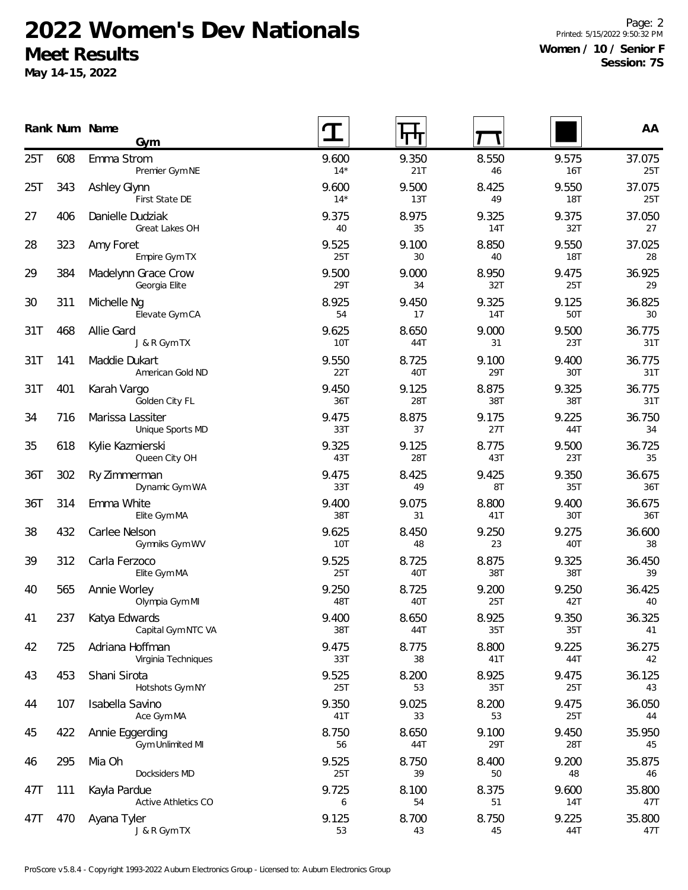# **2022 Women's Dev Nationals Meet Results**

**May 14-15, 2022**

Page: 2 Printed: 5/15/2022 9:50:32 PM **Women / 10 / Senior F Session: 7S**

|     |     | Rank Num Name<br>Gym                       |                | पग           |                     |                     | AA            |
|-----|-----|--------------------------------------------|----------------|--------------|---------------------|---------------------|---------------|
| 25T | 608 | Emma Strom<br>Premier Gym NE               | 9.600<br>$14*$ | 9.350<br>21T | 8.550<br>46         | 9.575<br>16T        | 37.075<br>25T |
| 25T | 343 | Ashley Glynn<br>First State DE             | 9.600<br>$14*$ | 9.500<br>13T | 8.425<br>49         | 9.550<br>18T        | 37.075<br>25T |
| 27  | 406 | Danielle Dudziak<br>Great Lakes OH         | 9.375<br>40    | 8.975<br>35  | 9.325<br><b>14T</b> | 9.375<br>32T        | 37.050<br>27  |
| 28  | 323 | Amy Foret<br>Empire Gym TX                 | 9.525<br>25T   | 9.100<br>30  | 8.850<br>40         | 9.550<br><b>18T</b> | 37.025<br>28  |
| 29  | 384 | Madelynn Grace Crow<br>Georgia Elite       | 9.500<br>29T   | 9.000<br>34  | 8.950<br>32T        | 9.475<br><b>25T</b> | 36.925<br>29  |
| 30  | 311 | Michelle Ng<br>Elevate Gym CA              | 8.925<br>54    | 9.450<br>17  | 9.325<br>14T        | 9.125<br>50T        | 36.825<br>30  |
| 31T | 468 | Allie Gard<br>J & R Gym TX                 | 9.625<br>10T   | 8.650<br>44T | 9.000<br>31         | 9.500<br>23T        | 36.775<br>31T |
| 31T | 141 | Maddie Dukart<br>American Gold ND          | 9.550<br>22T   | 8.725<br>40T | 9.100<br>29T        | 9.400<br>30T        | 36.775<br>31T |
| 31T | 401 | Karah Vargo<br>Golden City FL              | 9.450<br>36T   | 9.125<br>28T | 8.875<br>38T        | 9.325<br>38T        | 36.775<br>31T |
| 34  | 716 | Marissa Lassiter<br>Unique Sports MD       | 9.475<br>33T   | 8.875<br>37  | 9.175<br>27T        | 9.225<br>44T        | 36.750<br>34  |
| 35  | 618 | Kylie Kazmierski<br>Queen City OH          | 9.325<br>43T   | 9.125<br>28T | 8.775<br>43T        | 9.500<br>23T        | 36.725<br>35  |
| 36T | 302 | Ry Zimmerman<br>Dynamic Gym WA             | 9.475<br>33T   | 8.425<br>49  | 9.425<br>8T         | 9.350<br>35T        | 36.675<br>36T |
| 36T | 314 | Emma White<br>Elite Gym MA                 | 9.400<br>38T   | 9.075<br>31  | 8.800<br>41T        | 9.400<br>30T        | 36.675<br>36T |
| 38  | 432 | Carlee Nelson<br>Gymniks Gym WV            | 9.625<br>10T   | 8.450<br>48  | 9.250<br>23         | 9.275<br>40T        | 36.600<br>38  |
| 39  | 312 | Carla Ferzoco<br>Elite Gym MA              | 9.525<br>25T   | 8.725<br>40T | 8.875<br>38T        | 9.325<br>38T        | 36.450<br>39  |
| 40  | 565 | Annie Worley<br>Olympia Gym MI             | 9.250<br>48T   | 8.725<br>40T | 9.200<br>25T        | 9.250<br>42T        | 36.425<br>40  |
| 41  | 237 | Katya Edwards<br>Capital Gym NTC VA        | 9.400<br>38T   | 8.650<br>44T | 8.925<br>35T        | 9.350<br>35T        | 36.325<br>41  |
| 42  | 725 | Adriana Hoffman<br>Virginia Techniques     | 9.475<br>33T   | 8.775<br>38  | 8.800<br>41T        | 9.225<br>44T        | 36.275<br>42  |
| 43  | 453 | Shani Sirota<br>Hotshots Gym NY            | 9.525<br>25T   | 8.200<br>53  | 8.925<br>35T        | 9.475<br>25T        | 36.125<br>43  |
| 44  | 107 | Isabella Savino<br>Ace Gym MA              | 9.350<br>41T   | 9.025<br>33  | 8.200<br>53         | 9.475<br>25T        | 36.050<br>44  |
| 45  | 422 | Annie Eggerding<br><b>Gym Unlimited MI</b> | 8.750<br>56    | 8.650<br>44T | 9.100<br>29T        | 9.450<br>28T        | 35.950<br>45  |
| 46  | 295 | Mia Oh<br>Docksiders MD                    | 9.525<br>25T   | 8.750<br>39  | 8.400<br>50         | 9.200<br>48         | 35.875<br>46  |
| 47T | 111 | Kayla Pardue<br>Active Athletics CO        | 9.725<br>6     | 8.100<br>54  | 8.375<br>51         | 9.600<br>14T        | 35.800<br>47T |
| 47T | 470 | Ayana Tyler<br>J & R Gym TX                | 9.125<br>53    | 8.700<br>43  | 8.750<br>45         | 9.225<br>44T        | 35.800<br>47T |